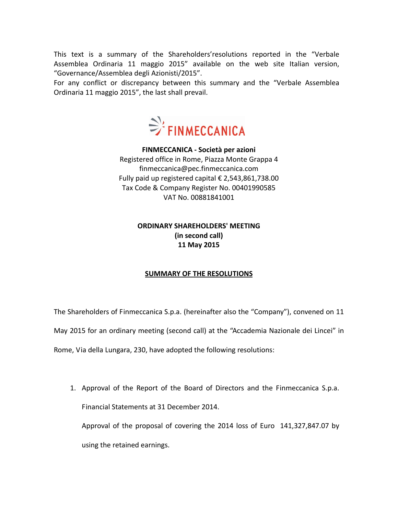This text is a summary of the Shareholders'resolutions reported in the "Verbale Assemblea Ordinaria 11 maggio 2015" available on the web site Italian version, "Governance/Assemblea degli Azionisti/2015".

For any conflict or discrepancy between this summary and the "Verbale Assemblea Ordinaria 11 maggio 2015", the last shall prevail.



**FINMECCANICA ‐ Società per azioni** Registered office in Rome, Piazza Monte Grappa 4 finmeccanica@pec.finmeccanica.com Fully paid up registered capital € 2,543,861,738.00 Tax Code & Company Register No. 00401990585 VAT No. 00881841001

## **ORDINARY SHAREHOLDERS' MEETING (in second call) 11 May 2015**

## **SUMMARY OF THE RESOLUTIONS**

The Shareholders of Finmeccanica S.p.a. (hereinafter also the "Company"), convened on 11

May 2015 for an ordinary meeting (second call) at the "Accademia Nazionale dei Lincei" in

Rome, Via della Lungara, 230, have adopted the following resolutions:

1. Approval of the Report of the Board of Directors and the Finmeccanica S.p.a. Financial Statements at 31 December 2014. Approval of the proposal of covering the 2014 loss of Euro 141,327,847.07 by

using the retained earnings.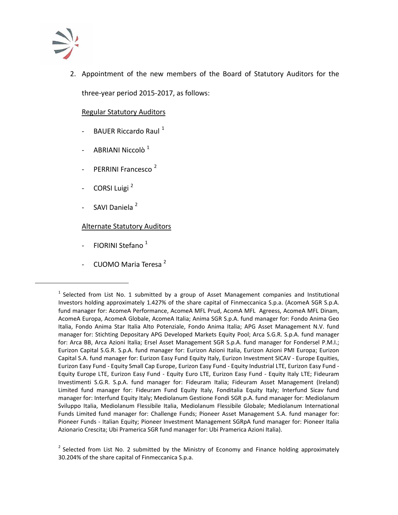

2. Appointment of the new members of the Board of Statutory Auditors for the three‐year period 2015‐2017, as follows:

## Regular Statutory Auditors

- BAUER Riccardo Raul<sup>[1](#page-1-0)</sup>
- ‐ ABRIANI Niccolò <sup>1</sup>
- PERRINI Francesco<sup>[2](#page-1-1)</sup>
- CORSI Luigi<sup>2</sup>
- SAVI Daniela<sup>2</sup>

## Alternate Statutory Auditors

FIORINI Stefano<sup>1</sup>

<span id="page-1-0"></span>

‐ CUOMO Maria Teresa <sup>2</sup>

 $<sup>1</sup>$  Selected from List No. 1 submitted by a group of Asset Management companies and Institutional</sup> Investors holding approximately 1.427% of the share capital of Finmeccanica S.p.a. (AcomeA SGR S.p.A. fund manager for: AcomeA Performance, AcomeA MFL Prud, AcomA MFL Agreess, AcomeA MFL Dinam, AcomeA Europa, AcomeA Globale, AcomeA Italia; Anima SGR S.p.A. fund manager for: Fondo Anima Geo Italia, Fondo Anima Star Italia Alto Potenziale, Fondo Anima Italia; APG Asset Management N.V. fund manager for: Stichting Depositary APG Developed Markets Equity Pool; Arca S.G.R. S.p.A. fund manager for: Arca BB, Arca Azioni Italia; Ersel Asset Management SGR S.p.A. fund manager for Fondersel P.M.I.; Eurizon Capital S.G.R. S.p.A. fund manager for: Eurizon Azioni Italia, Eurizon Azioni PMI Europa; Eurizon Capital S.A. fund manager for: Eurizon Easy Fund Equity Italy, Eurizon Investment SICAV ‐ Europe Equities, Eurizon Easy Fund ‐ Equity Small Cap Europe, Eurizon Easy Fund ‐ Equity Industrial LTE, Eurizon Easy Fund ‐ Equity Europe LTE, Eurizon Easy Fund ‐ Equity Euro LTE, Eurizon Easy Fund ‐ Equity Italy LTE; Fideuram Investimenti S.G.R. S.p.A. fund manager for: Fideuram Italia; Fideuram Asset Management (Ireland) Limited fund manager for: Fideuram Fund Equity Italy, Fonditalia Equity Italy; Interfund Sicav fund manager for: Interfund Equity Italy; Mediolanum Gestione Fondi SGR p.A. fund manager for: Mediolanum Sviluppo Italia, Mediolanum Flessibile Italia, Mediolanum Flessibile Globale; Mediolanum International Funds Limited fund manager for: Challenge Funds; Pioneer Asset Management S.A. fund manager for: Pioneer Funds ‐ Italian Equity; Pioneer Investment Management SGRpA fund manager for: Pioneer Italia Azionario Crescita; Ubi Pramerica SGR fund manager for: Ubi Pramerica Azioni Italia).

<span id="page-1-1"></span> $<sup>2</sup>$  Selected from List No. 2 submitted by the Ministry of Economy and Finance holding approximately</sup> 30.204% of the share capital of Finmeccanica S.p.a.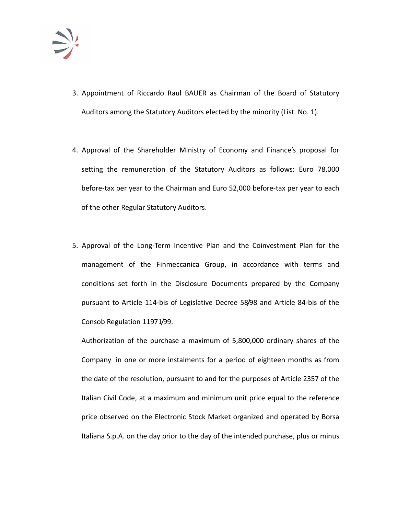

- 3. Appointment of Riccardo Raul BAUER as Chairman of the Board of Statutory Auditors among the Statutory Auditors elected by the minority (List. No. 1).
- 4. Approval of the Shareholder Ministry of Economy and Finance's proposal for setting the remuneration of the Statutory Auditors as follows: Euro 78,000 before-tax per year to the Chairman and Euro 52,000 before-tax per year to each of the other Regular Statutory Auditors.
- 5. Approval of the Long-Term Incentive Plan and the Coinvestment Plan for the management of the Finmeccanica Group, in accordance with terms and conditions set forth in the Disclosure Documents prepared by the Company pursuant to Article 114‐bis of Legislative Decree 58/98 and Article 84‐bis of the Consob Regulation 11971/99.

Authorization of the purchase a maximum of 5,800,000 ordinary shares of the Company in one or more instalments for a period of eighteen months as from the date of the resolution, pursuant to and for the purposes of Article 2357 of the Italian Civil Code, at a maximum and minimum unit price equal to the reference price observed on the Electronic Stock Market organized and operated by Borsa Italiana S.p.A. on the day prior to the day of the intended purchase, plus or minus